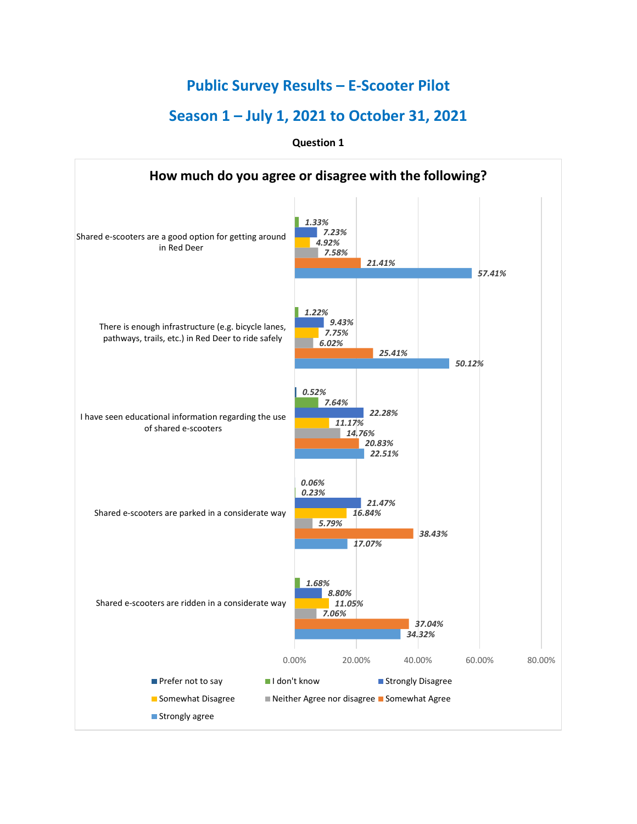## **Public Survey Results – E-Scooter Pilot**

# **Season 1 – July 1, 2021 to October 31, 2021**

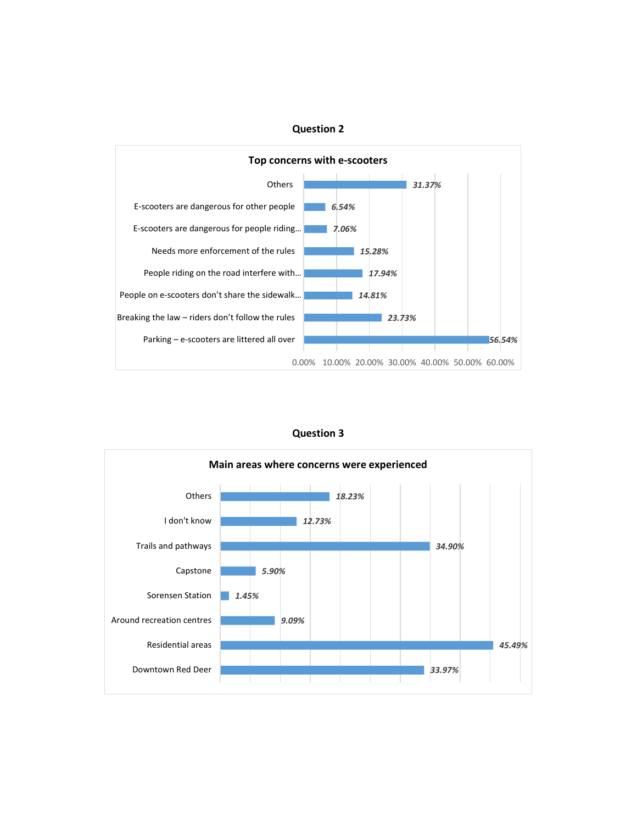

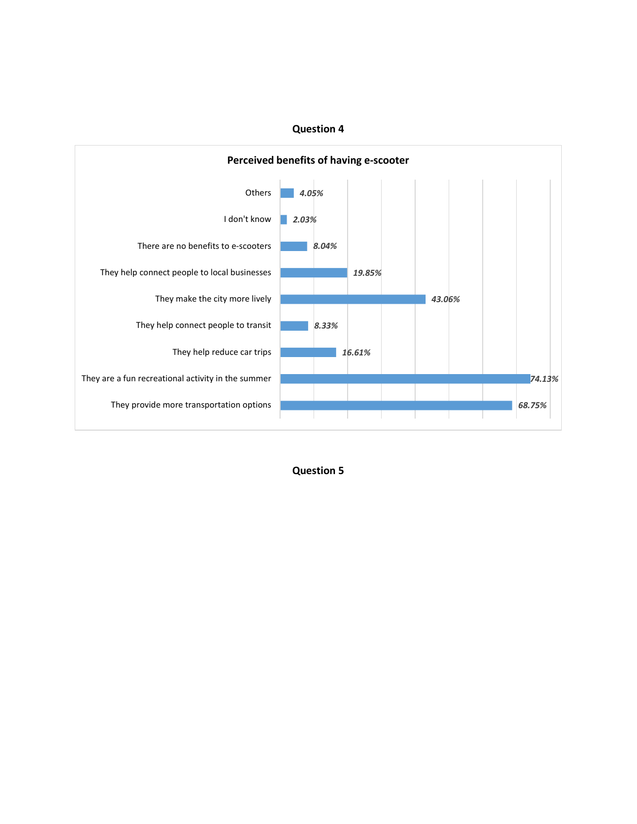

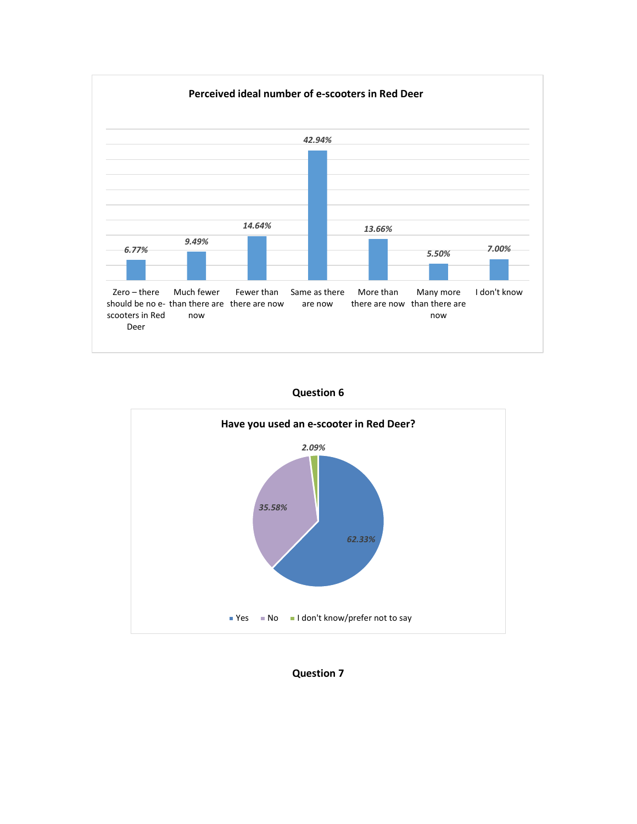





**Question 7**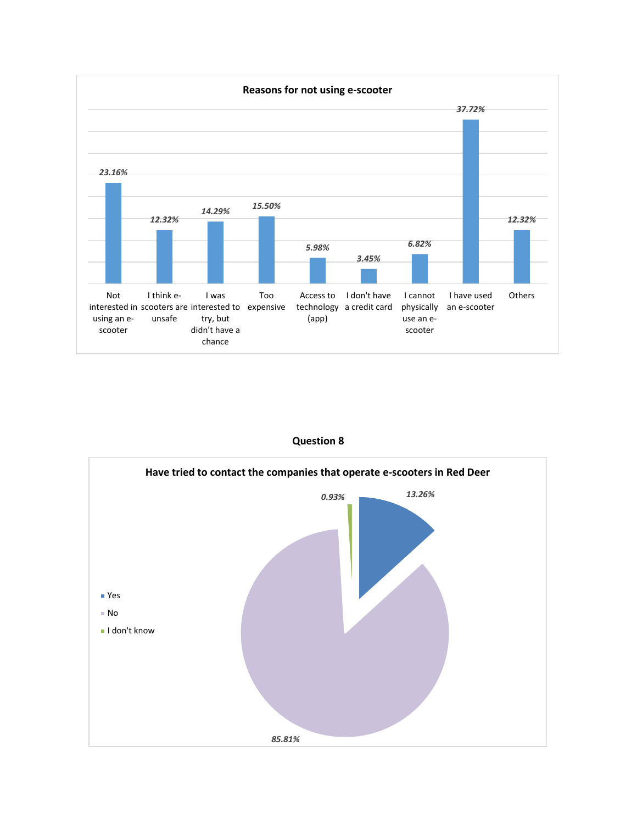

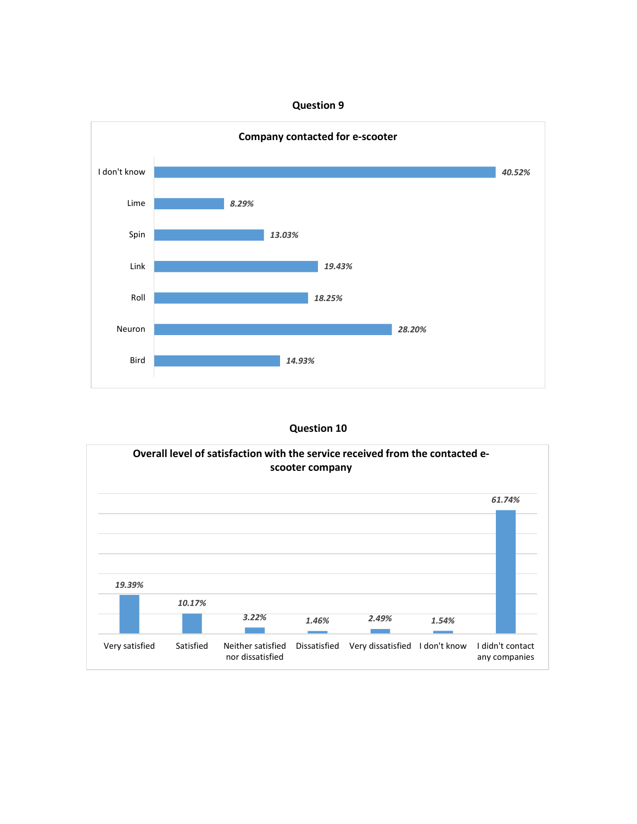

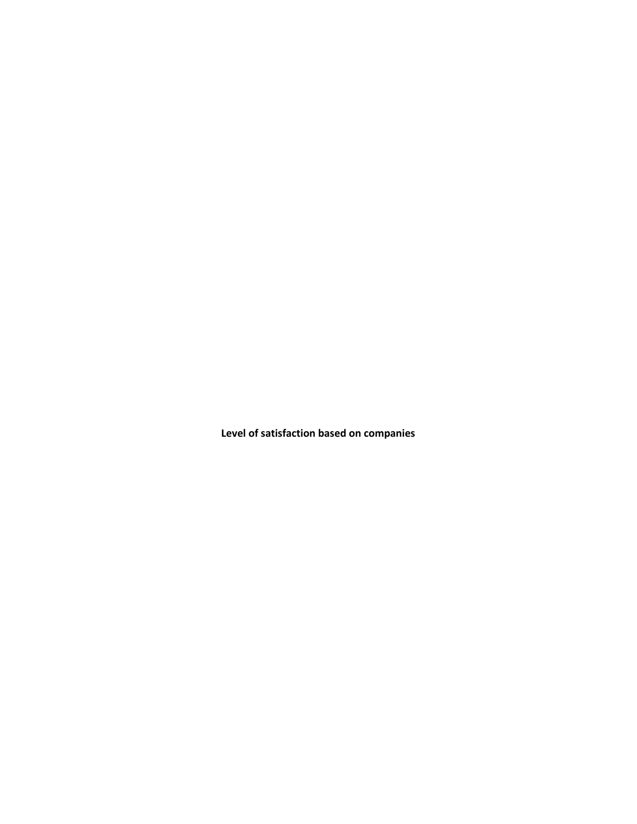**Level of satisfaction based on companies**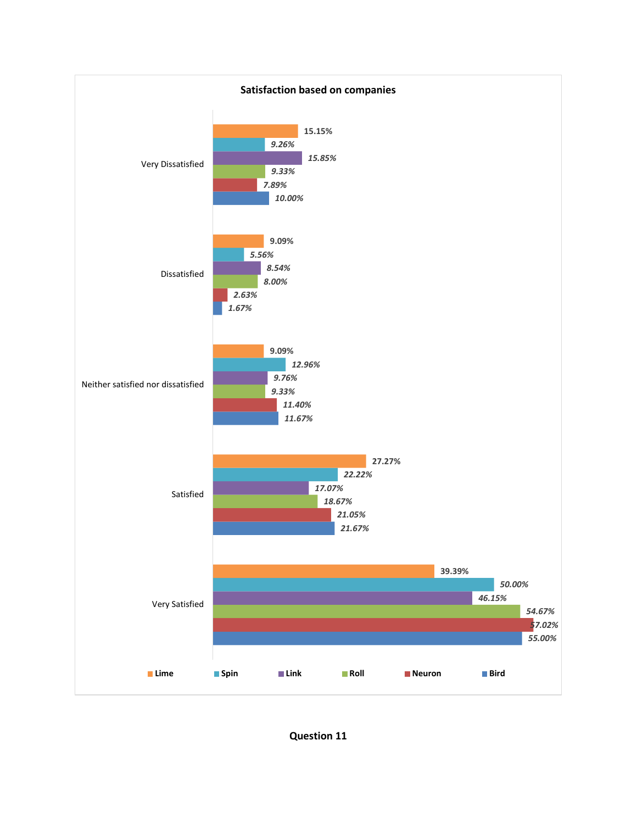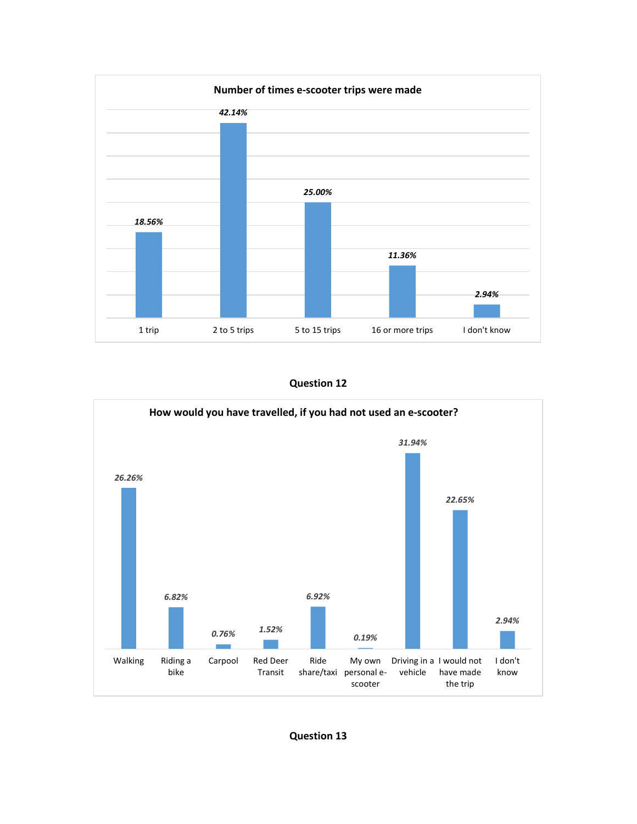

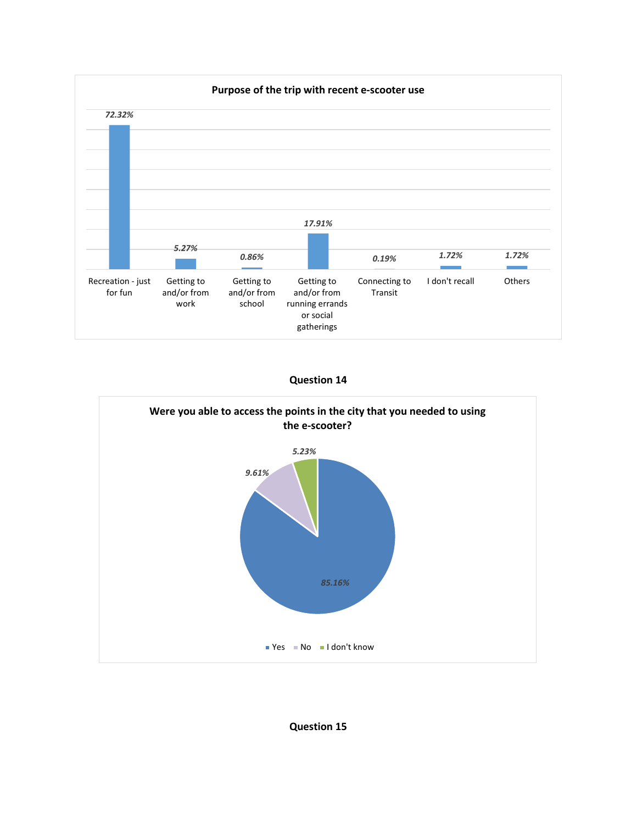





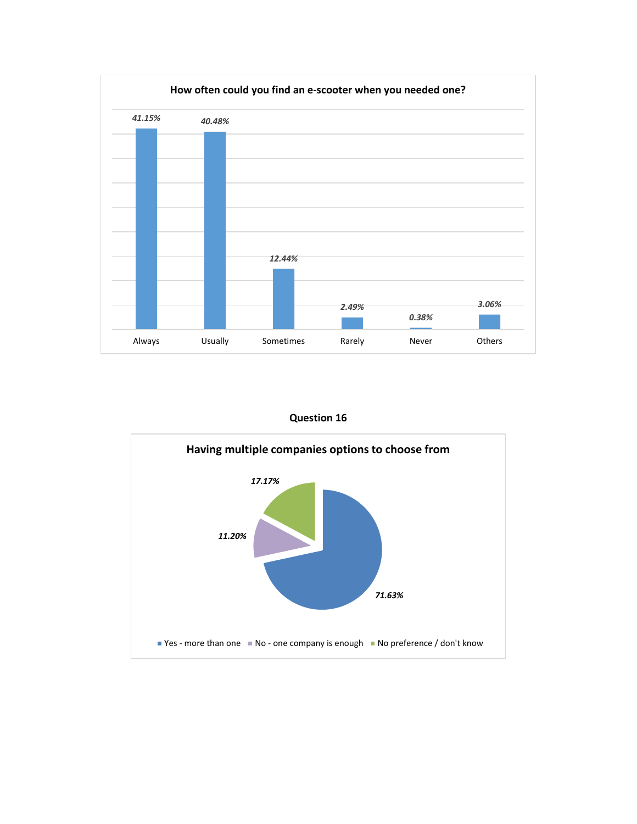

**Question 16**

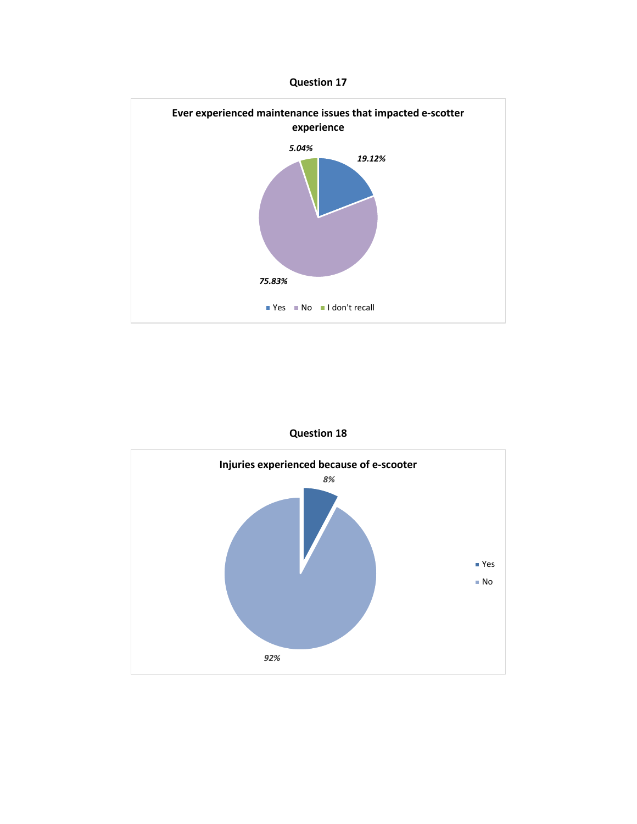



**Question 18**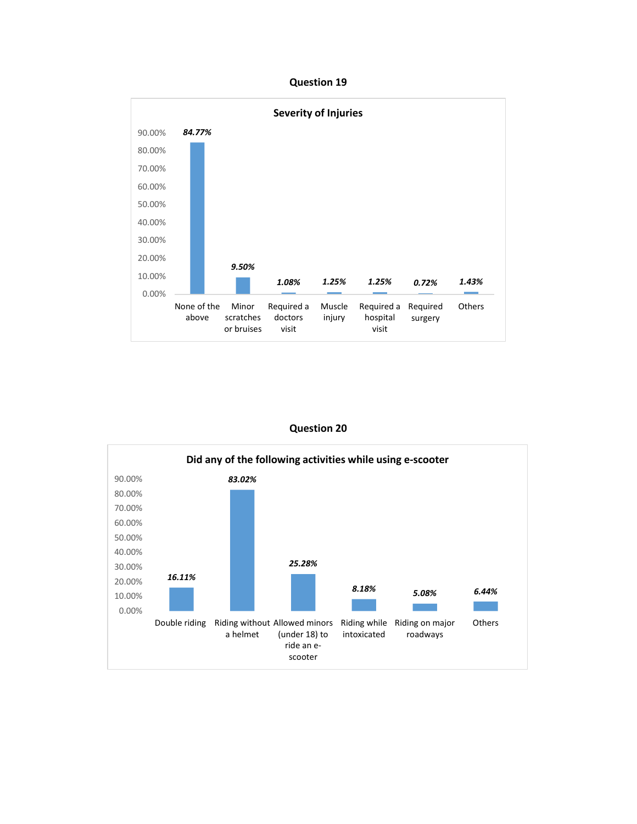

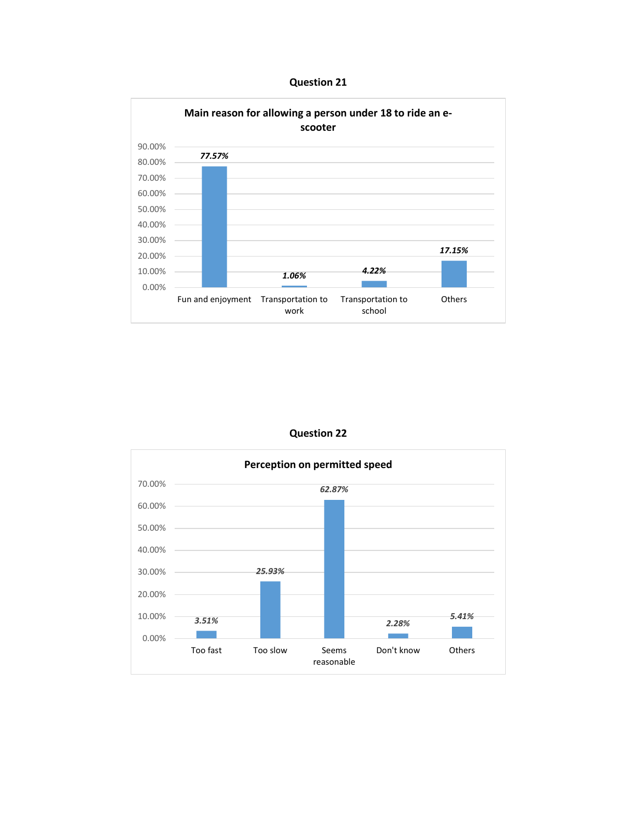**Question 21**





**Question 22**